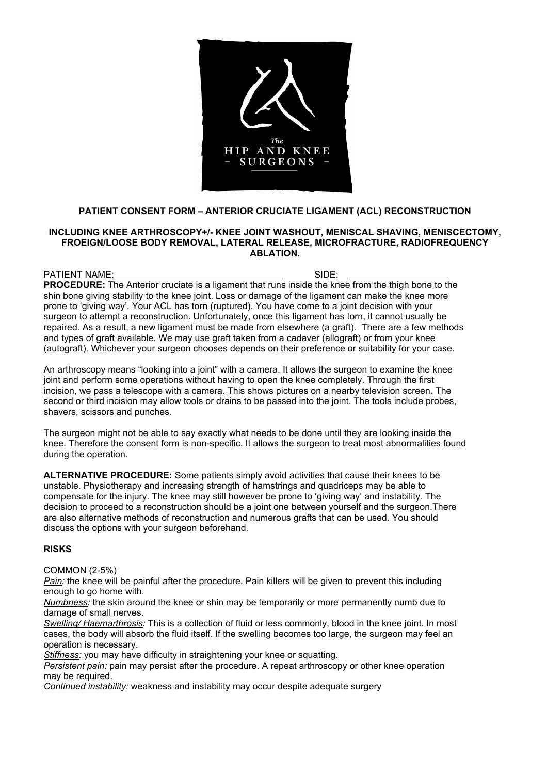

# **PATIENT CONSENT FORM – ANTERIOR CRUCIATE LIGAMENT (ACL) RECONSTRUCTION**

#### **INCLUDING KNEE ARTHROSCOPY+/- KNEE JOINT WASHOUT, MENISCAL SHAVING, MENISCECTOMY, FROEIGN/LOOSE BODY REMOVAL, LATERAL RELEASE, MICROFRACTURE, RADIOFREQUENCY ABLATION.**

PATIENT NAME: SIDE: **PROCEDURE:** The Anterior cruciate is a ligament that runs inside the knee from the thigh bone to the shin bone giving stability to the knee joint. Loss or damage of the ligament can make the knee more prone to 'giving way'. Your ACL has torn (ruptured). You have come to a joint decision with your surgeon to attempt a reconstruction. Unfortunately, once this ligament has torn, it cannot usually be repaired. As a result, a new ligament must be made from elsewhere (a graft). There are a few methods and types of graft available. We may use graft taken from a cadaver (allograft) or from your knee (autograft). Whichever your surgeon chooses depends on their preference or suitability for your case.

An arthroscopy means "looking into a joint" with a camera. It allows the surgeon to examine the knee joint and perform some operations without having to open the knee completely. Through the first incision, we pass a telescope with a camera. This shows pictures on a nearby television screen. The second or third incision may allow tools or drains to be passed into the joint. The tools include probes, shavers, scissors and punches.

The surgeon might not be able to say exactly what needs to be done until they are looking inside the knee. Therefore the consent form is non-specific. It allows the surgeon to treat most abnormalities found during the operation.

**ALTERNATIVE PROCEDURE:** Some patients simply avoid activities that cause their knees to be unstable. Physiotherapy and increasing strength of hamstrings and quadriceps may be able to compensate for the injury. The knee may still however be prone to 'giving way' and instability. The decision to proceed to a reconstruction should be a joint one between yourself and the surgeon.There are also alternative methods of reconstruction and numerous grafts that can be used. You should discuss the options with your surgeon beforehand.

#### **RISKS**

COMMON (2-5%)

*Pain:* the knee will be painful after the procedure. Pain killers will be given to prevent this including enough to go home with.

*Numbness:* the skin around the knee or shin may be temporarily or more permanently numb due to damage of small nerves.

*Swelling/ Haemarthrosis:* This is a collection of fluid or less commonly, blood in the knee joint. In most cases, the body will absorb the fluid itself. If the swelling becomes too large, the surgeon may feel an operation is necessary.

*Stiffness:* you may have difficulty in straightening your knee or squatting.

*Persistent pain:* pain may persist after the procedure. A repeat arthroscopy or other knee operation may be required.

*Continued instability:* weakness and instability may occur despite adequate surgery